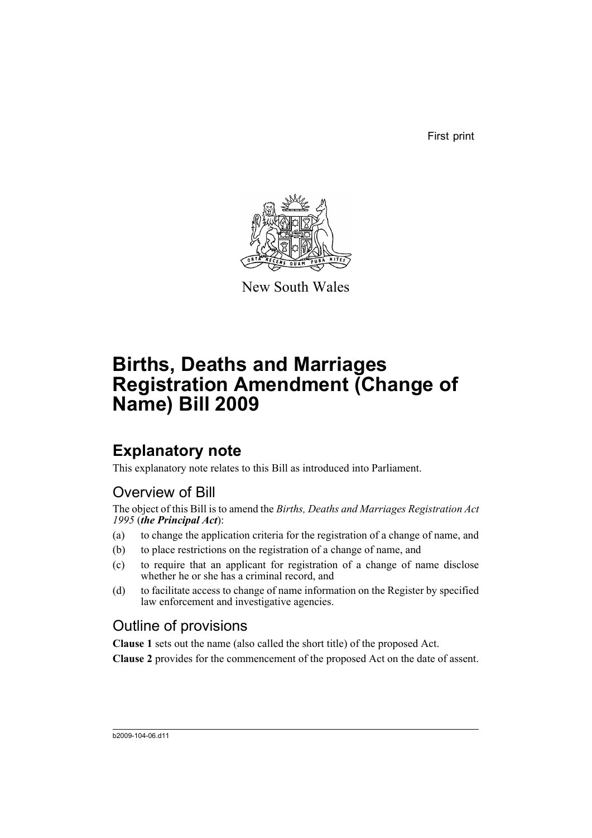First print



New South Wales

# **Births, Deaths and Marriages Registration Amendment (Change of Name) Bill 2009**

## **Explanatory note**

This explanatory note relates to this Bill as introduced into Parliament.

## Overview of Bill

The object of this Bill is to amend the *Births, Deaths and Marriages Registration Act 1995* (*the Principal Act*):

- (a) to change the application criteria for the registration of a change of name, and
- (b) to place restrictions on the registration of a change of name, and
- (c) to require that an applicant for registration of a change of name disclose whether he or she has a criminal record, and
- (d) to facilitate access to change of name information on the Register by specified law enforcement and investigative agencies.

## Outline of provisions

**Clause 1** sets out the name (also called the short title) of the proposed Act.

**Clause 2** provides for the commencement of the proposed Act on the date of assent.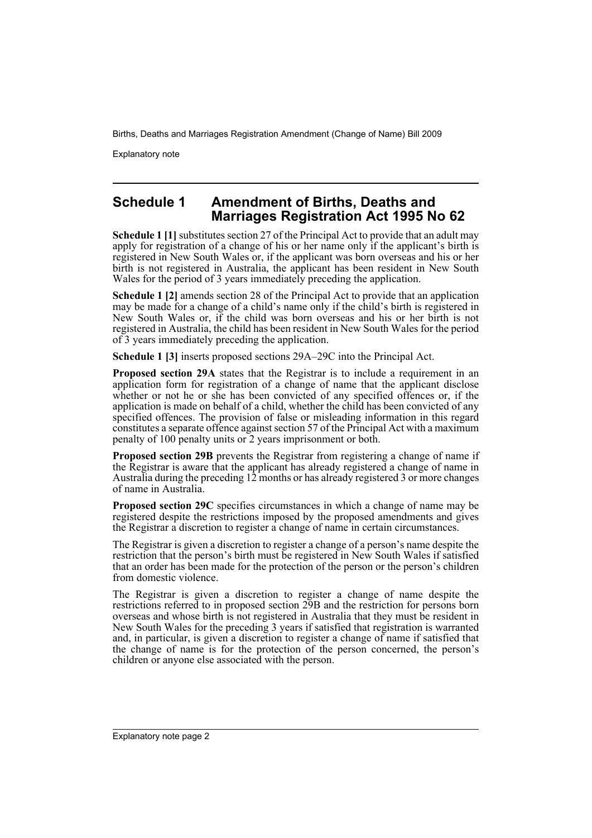Explanatory note

### **Schedule 1 Amendment of Births, Deaths and Marriages Registration Act 1995 No 62**

**Schedule 1 [1]** substitutes section 27 of the Principal Act to provide that an adult may apply for registration of a change of his or her name only if the applicant's birth is registered in New South Wales or, if the applicant was born overseas and his or her birth is not registered in Australia, the applicant has been resident in New South Wales for the period of 3 years immediately preceding the application.

**Schedule 1 [2]** amends section 28 of the Principal Act to provide that an application may be made for a change of a child's name only if the child's birth is registered in New South Wales or, if the child was born overseas and his or her birth is not registered in Australia, the child has been resident in New South Wales for the period of 3 years immediately preceding the application.

**Schedule 1 [3]** inserts proposed sections 29A–29C into the Principal Act.

**Proposed section 29A** states that the Registrar is to include a requirement in an application form for registration of a change of name that the applicant disclose whether or not he or she has been convicted of any specified offences or, if the application is made on behalf of a child, whether the child has been convicted of any specified offences. The provision of false or misleading information in this regard constitutes a separate offence against section 57 of the Principal Act with a maximum penalty of 100 penalty units or 2 years imprisonment or both.

**Proposed section 29B** prevents the Registrar from registering a change of name if the Registrar is aware that the applicant has already registered a change of name in Australia during the preceding 12 months or has already registered 3 or more changes of name in Australia.

**Proposed section 29C** specifies circumstances in which a change of name may be registered despite the restrictions imposed by the proposed amendments and gives the Registrar a discretion to register a change of name in certain circumstances.

The Registrar is given a discretion to register a change of a person's name despite the restriction that the person's birth must be registered in New South Wales if satisfied that an order has been made for the protection of the person or the person's children from domestic violence.

The Registrar is given a discretion to register a change of name despite the restrictions referred to in proposed section 29B and the restriction for persons born overseas and whose birth is not registered in Australia that they must be resident in New South Wales for the preceding 3 years if satisfied that registration is warranted and, in particular, is given a discretion to register a change of name if satisfied that the change of name is for the protection of the person concerned, the person's children or anyone else associated with the person.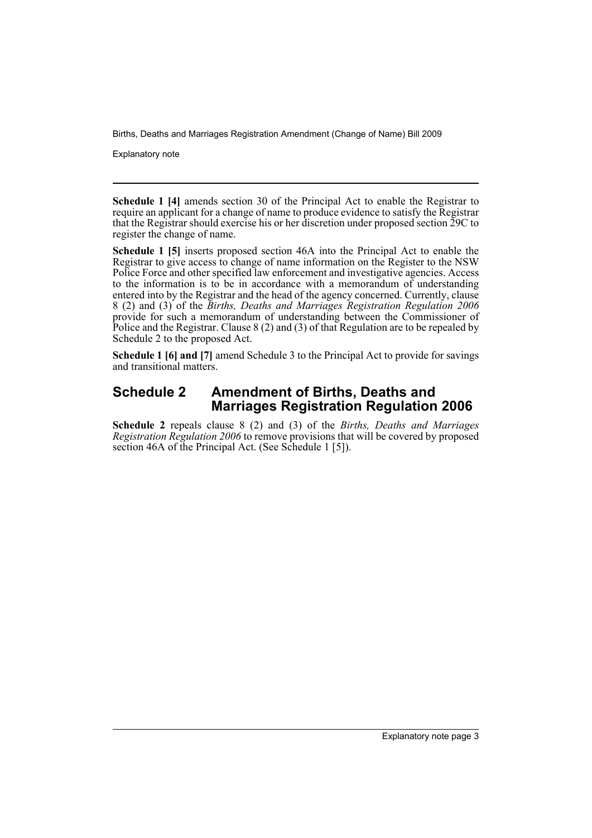Explanatory note

**Schedule 1 [4]** amends section 30 of the Principal Act to enable the Registrar to require an applicant for a change of name to produce evidence to satisfy the Registrar that the Registrar should exercise his or her discretion under proposed section 29C to register the change of name.

**Schedule 1 [5]** inserts proposed section 46A into the Principal Act to enable the Registrar to give access to change of name information on the Register to the NSW Police Force and other specified law enforcement and investigative agencies. Access to the information is to be in accordance with a memorandum of understanding entered into by the Registrar and the head of the agency concerned. Currently, clause 8 (2) and (3) of the *Births, Deaths and Marriages Registration Regulation 2006* provide for such a memorandum of understanding between the Commissioner of Police and the Registrar. Clause 8 (2) and (3) of that Regulation are to be repealed by Schedule 2 to the proposed Act.

**Schedule 1 [6] and [7]** amend Schedule 3 to the Principal Act to provide for savings and transitional matters.

### **Schedule 2 Amendment of Births, Deaths and Marriages Registration Regulation 2006**

**Schedule 2** repeals clause 8 (2) and (3) of the *Births, Deaths and Marriages Registration Regulation 2006* to remove provisions that will be covered by proposed section 46A of the Principal Act. (See Schedule 1 [5]).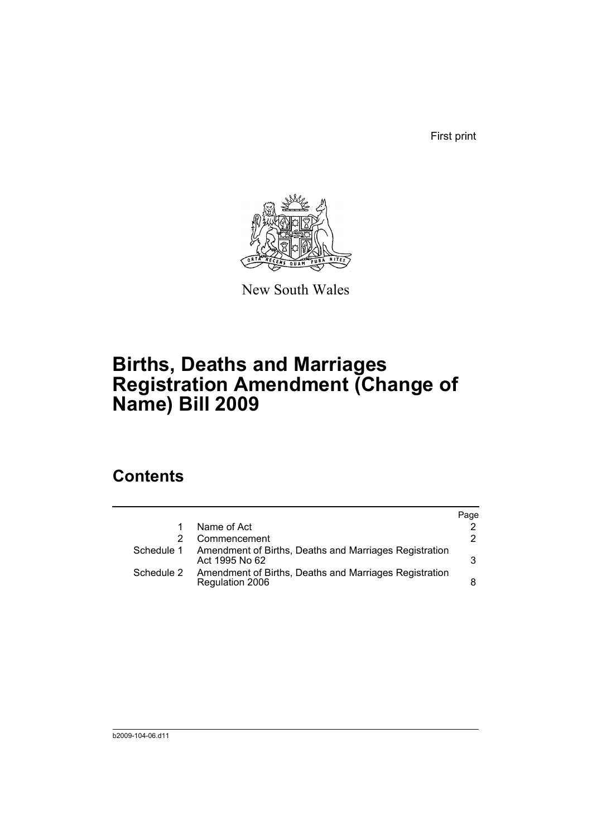First print



New South Wales

## **Births, Deaths and Marriages Registration Amendment (Change of Name) Bill 2009**

## **Contents**

|            |                                                                           | Page |
|------------|---------------------------------------------------------------------------|------|
|            | Name of Act                                                               |      |
|            | Commencement                                                              | 2    |
| Schedule 1 | Amendment of Births, Deaths and Marriages Registration<br>Act 1995 No 62  | 3    |
| Schedule 2 | Amendment of Births, Deaths and Marriages Registration<br>Regulation 2006 | 8    |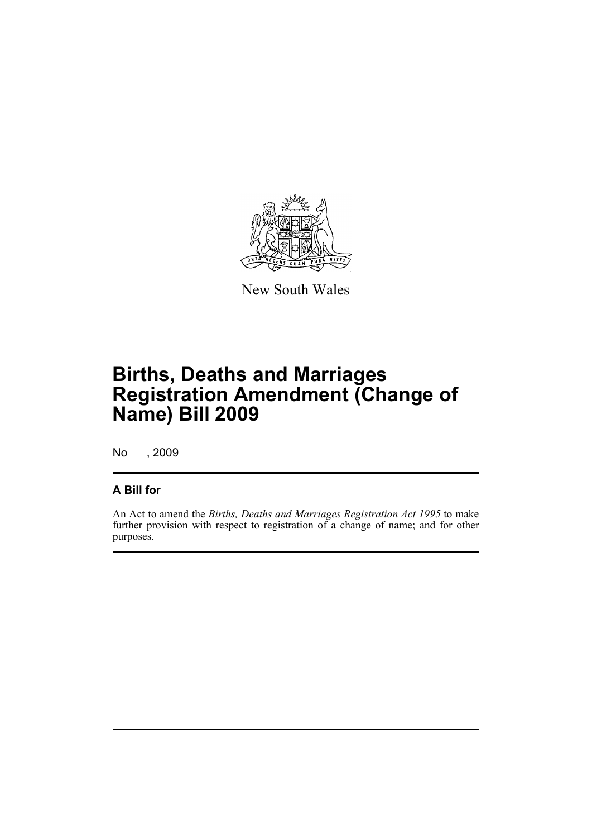

New South Wales

# **Births, Deaths and Marriages Registration Amendment (Change of Name) Bill 2009**

No , 2009

### **A Bill for**

An Act to amend the *Births, Deaths and Marriages Registration Act 1995* to make further provision with respect to registration of a change of name; and for other purposes.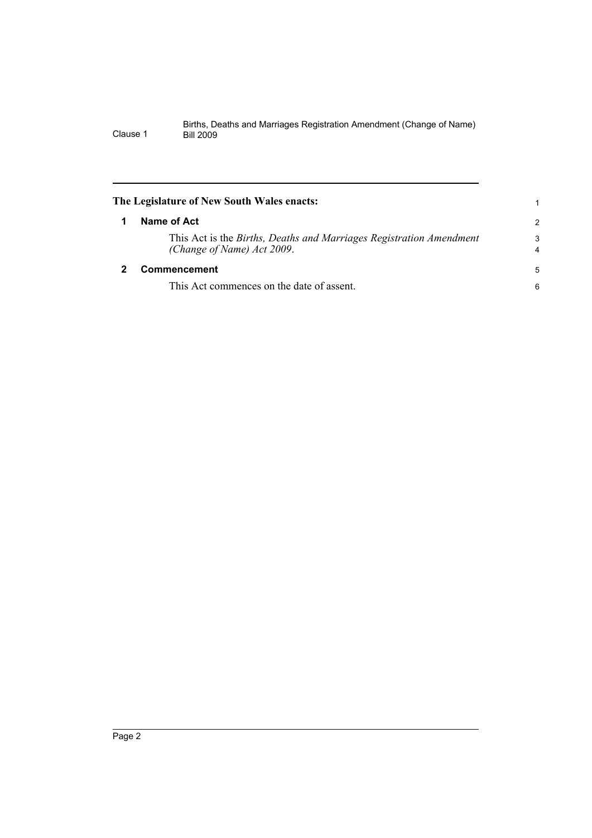<span id="page-7-1"></span><span id="page-7-0"></span>

| The Legislature of New South Wales enacts: |                                                                                                   |                     |  |  |
|--------------------------------------------|---------------------------------------------------------------------------------------------------|---------------------|--|--|
|                                            | Name of Act                                                                                       | 2                   |  |  |
|                                            | This Act is the Births, Deaths and Marriages Registration Amendment<br>(Change of Name) Act 2009. | 3<br>$\overline{4}$ |  |  |
|                                            | <b>Commencement</b>                                                                               | 5                   |  |  |
|                                            | This Act commences on the date of assent.                                                         | 6                   |  |  |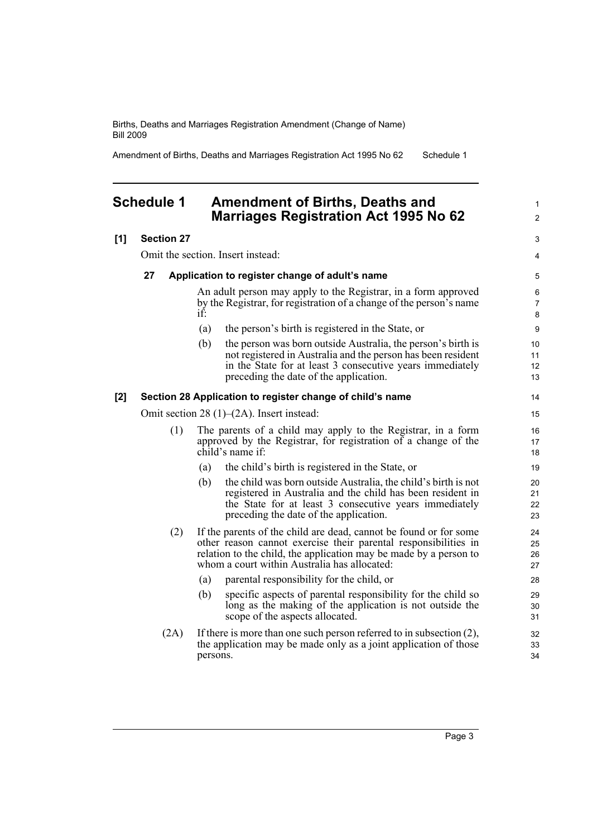Amendment of Births, Deaths and Marriages Registration Act 1995 No 62 Schedule 1

### <span id="page-8-0"></span>**Schedule 1 Amendment of Births, Deaths and Marriages Registration Act 1995 No 62**

### **[1] Section 27**

Omit the section. Insert instead:

#### **27 Application to register change of adult's name**

An adult person may apply to the Registrar, in a form approved by the Registrar, for registration of a change of the person's name if:

- (a) the person's birth is registered in the State, or
- (b) the person was born outside Australia, the person's birth is not registered in Australia and the person has been resident in the State for at least 3 consecutive years immediately preceding the date of the application.

#### **[2] Section 28 Application to register change of child's name**

Omit section 28 (1)–(2A). Insert instead:

- (1) The parents of a child may apply to the Registrar, in a form approved by the Registrar, for registration of a change of the child's name if:
	- (a) the child's birth is registered in the State, or
	- (b) the child was born outside Australia, the child's birth is not registered in Australia and the child has been resident in the State for at least 3 consecutive years immediately preceding the date of the application.
- (2) If the parents of the child are dead, cannot be found or for some other reason cannot exercise their parental responsibilities in relation to the child, the application may be made by a person to whom a court within Australia has allocated:
	- (a) parental responsibility for the child, or
	- (b) specific aspects of parental responsibility for the child so long as the making of the application is not outside the scope of the aspects allocated.
- (2A) If there is more than one such person referred to in subsection (2), the application may be made only as a joint application of those persons.

1  $\mathfrak{p}$ 

3 4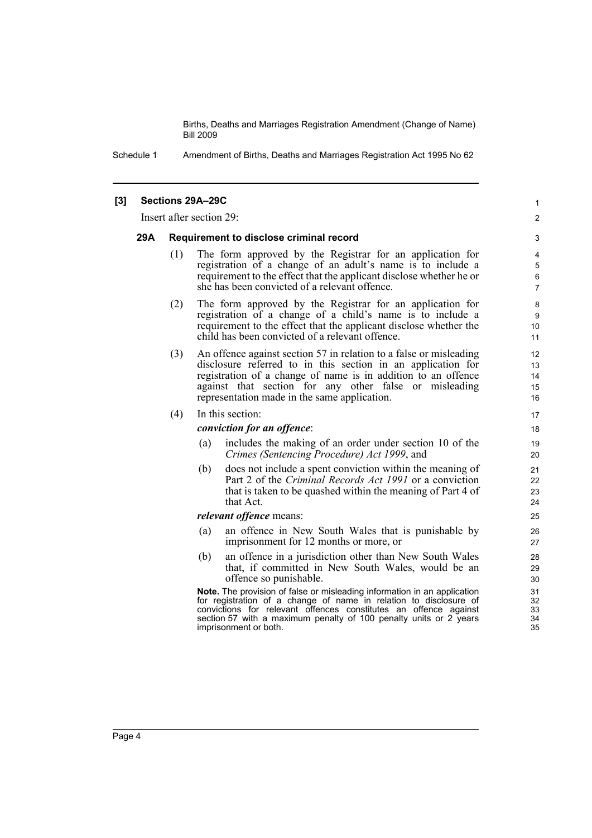> 1  $\mathfrak{p}$

Schedule 1 Amendment of Births, Deaths and Marriages Registration Act 1995 No 62

#### **[3] Sections 29A–29C**

Insert after section 29:

#### **29A Requirement to disclose criminal record**

- (1) The form approved by the Registrar for an application for registration of a change of an adult's name is to include a requirement to the effect that the applicant disclose whether he or she has been convicted of a relevant offence.
- (2) The form approved by the Registrar for an application for registration of a change of a child's name is to include a requirement to the effect that the applicant disclose whether the child has been convicted of a relevant offence.
- (3) An offence against section 57 in relation to a false or misleading disclosure referred to in this section in an application for registration of a change of name is in addition to an offence against that section for any other false or misleading representation made in the same application.

#### (4) In this section:

#### *conviction for an offence*:

- (a) includes the making of an order under section 10 of the *Crimes (Sentencing Procedure) Act 1999*, and
- (b) does not include a spent conviction within the meaning of Part 2 of the *Criminal Records Act 1991* or a conviction that is taken to be quashed within the meaning of Part 4 of that Act.

#### *relevant offence* means:

- (a) an offence in New South Wales that is punishable by imprisonment for 12 months or more, or
- (b) an offence in a jurisdiction other than New South Wales that, if committed in New South Wales, would be an offence so punishable.

**Note.** The provision of false or misleading information in an application for registration of a change of name in relation to disclosure of convictions for relevant offences constitutes an offence against section 57 with a maximum penalty of 100 penalty units or 2 years imprisonment or both.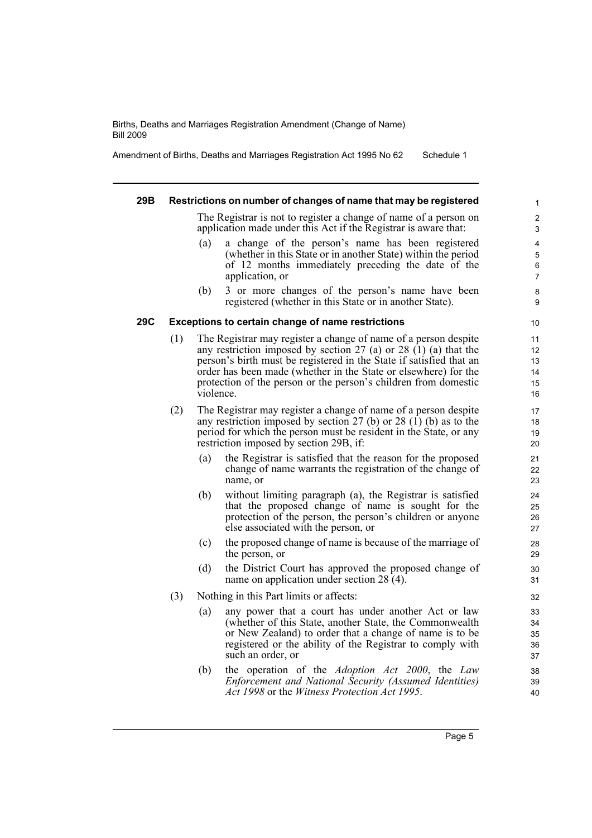Amendment of Births, Deaths and Marriages Registration Act 1995 No 62 Schedule 1

#### **29B Restrictions on number of changes of name that may be registered** The Registrar is not to register a change of name of a person on application made under this Act if the Registrar is aware that: (a) a change of the person's name has been registered (whether in this State or in another State) within the period of 12 months immediately preceding the date of the application, or (b) 3 or more changes of the person's name have been registered (whether in this State or in another State). **29C Exceptions to certain change of name restrictions** (1) The Registrar may register a change of name of a person despite any restriction imposed by section  $27$  (a) or  $28$  (1) (a) that the person's birth must be registered in the State if satisfied that an order has been made (whether in the State or elsewhere) for the protection of the person or the person's children from domestic violence. (2) The Registrar may register a change of name of a person despite any restriction imposed by section 27 (b) or 28  $(1)$  (b) as to the period for which the person must be resident in the State, or any restriction imposed by section 29B, if: (a) the Registrar is satisfied that the reason for the proposed change of name warrants the registration of the change of name, or (b) without limiting paragraph (a), the Registrar is satisfied that the proposed change of name is sought for the protection of the person, the person's children or anyone else associated with the person, or (c) the proposed change of name is because of the marriage of the person, or (d) the District Court has approved the proposed change of name on application under section 28 (4). (3) Nothing in this Part limits or affects: (a) any power that a court has under another Act or law (whether of this State, another State, the Commonwealth or New Zealand) to order that a change of name is to be registered or the ability of the Registrar to comply with such an order, or (b) the operation of the *Adoption Act 2000*, the *Law Enforcement and National Security (Assumed Identities)* 1 2 3 4 5 6 7 8 9 10 11 12 13 14 15 16 17 18 19 20 21 22 23 24 25 26 27 28 29 30 31 32 33 34 35 36 37 38 39

*Act 1998* or the *Witness Protection Act 1995*.

40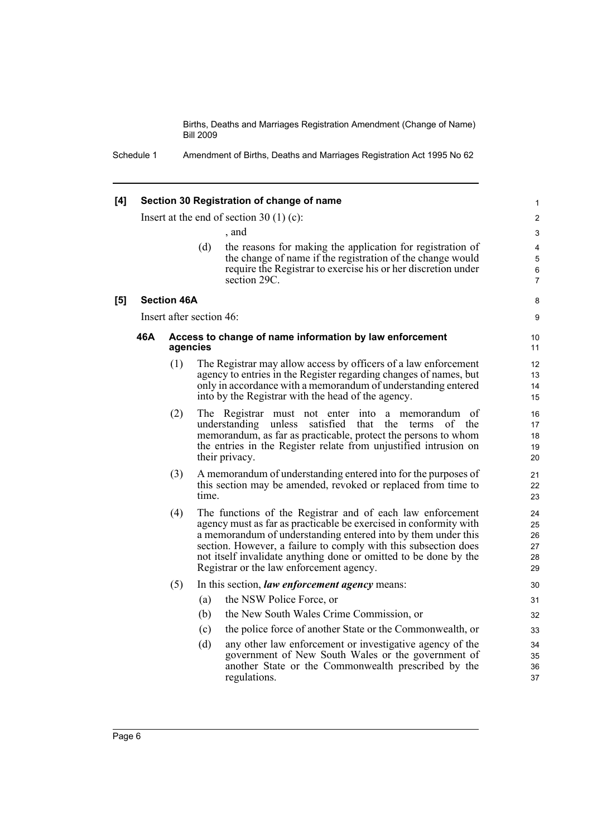| [4] | Section 30 Registration of change of name                                                                                                                                                                                                                                                                                                                                                                                                                                                                                                     |                                           |     |                                                                                                                                                                                                                                                                                        |                               |  |
|-----|-----------------------------------------------------------------------------------------------------------------------------------------------------------------------------------------------------------------------------------------------------------------------------------------------------------------------------------------------------------------------------------------------------------------------------------------------------------------------------------------------------------------------------------------------|-------------------------------------------|-----|----------------------------------------------------------------------------------------------------------------------------------------------------------------------------------------------------------------------------------------------------------------------------------------|-------------------------------|--|
|     |                                                                                                                                                                                                                                                                                                                                                                                                                                                                                                                                               | Insert at the end of section $30(1)(c)$ : | 2   |                                                                                                                                                                                                                                                                                        |                               |  |
|     |                                                                                                                                                                                                                                                                                                                                                                                                                                                                                                                                               |                                           |     | , and                                                                                                                                                                                                                                                                                  | 3                             |  |
|     |                                                                                                                                                                                                                                                                                                                                                                                                                                                                                                                                               |                                           | (d) | the reasons for making the application for registration of<br>the change of name if the registration of the change would<br>require the Registrar to exercise his or her discretion under<br>section 29C.                                                                              | 4<br>5<br>6<br>$\overline{7}$ |  |
| [5] |                                                                                                                                                                                                                                                                                                                                                                                                                                                                                                                                               | <b>Section 46A</b>                        |     |                                                                                                                                                                                                                                                                                        | 8                             |  |
|     | Insert after section 46:                                                                                                                                                                                                                                                                                                                                                                                                                                                                                                                      |                                           |     |                                                                                                                                                                                                                                                                                        |                               |  |
|     | 46A<br>Access to change of name information by law enforcement<br>agencies                                                                                                                                                                                                                                                                                                                                                                                                                                                                    |                                           |     |                                                                                                                                                                                                                                                                                        | 10<br>11                      |  |
|     |                                                                                                                                                                                                                                                                                                                                                                                                                                                                                                                                               | (1)                                       |     | The Registrar may allow access by officers of a law enforcement<br>agency to entries in the Register regarding changes of names, but<br>only in accordance with a memorandum of understanding entered<br>into by the Registrar with the head of the agency.                            | 12<br>13<br>14<br>15          |  |
|     |                                                                                                                                                                                                                                                                                                                                                                                                                                                                                                                                               | (2)                                       |     | The Registrar must not enter into a memorandum of<br>understanding<br>unless<br>satisfied<br>that<br>the<br>terms<br>of<br>the<br>memorandum, as far as practicable, protect the persons to whom<br>the entries in the Register relate from unjustified intrusion on<br>their privacy. | 16<br>17<br>18<br>19<br>20    |  |
|     | (3)<br>A memorandum of understanding entered into for the purposes of<br>this section may be amended, revoked or replaced from time to<br>time.<br>The functions of the Registrar and of each law enforcement<br>(4)<br>agency must as far as practicable be exercised in conformity with<br>a memorandum of understanding entered into by them under this<br>section. However, a failure to comply with this subsection does<br>not itself invalidate anything done or omitted to be done by the<br>Registrar or the law enforcement agency. |                                           |     |                                                                                                                                                                                                                                                                                        |                               |  |
|     |                                                                                                                                                                                                                                                                                                                                                                                                                                                                                                                                               |                                           |     |                                                                                                                                                                                                                                                                                        |                               |  |
|     |                                                                                                                                                                                                                                                                                                                                                                                                                                                                                                                                               | (5)                                       |     | In this section, law enforcement agency means:                                                                                                                                                                                                                                         | 30                            |  |
|     |                                                                                                                                                                                                                                                                                                                                                                                                                                                                                                                                               |                                           | (a) | the NSW Police Force, or                                                                                                                                                                                                                                                               | 31                            |  |
|     |                                                                                                                                                                                                                                                                                                                                                                                                                                                                                                                                               |                                           | (b) | the New South Wales Crime Commission, or                                                                                                                                                                                                                                               | 32                            |  |
|     |                                                                                                                                                                                                                                                                                                                                                                                                                                                                                                                                               |                                           | (c) | the police force of another State or the Commonwealth, or                                                                                                                                                                                                                              | 33                            |  |
|     |                                                                                                                                                                                                                                                                                                                                                                                                                                                                                                                                               |                                           | (d) | any other law enforcement or investigative agency of the<br>government of New South Wales or the government of<br>another State or the Commonwealth prescribed by the<br>regulations.                                                                                                  | 34<br>35<br>36<br>37          |  |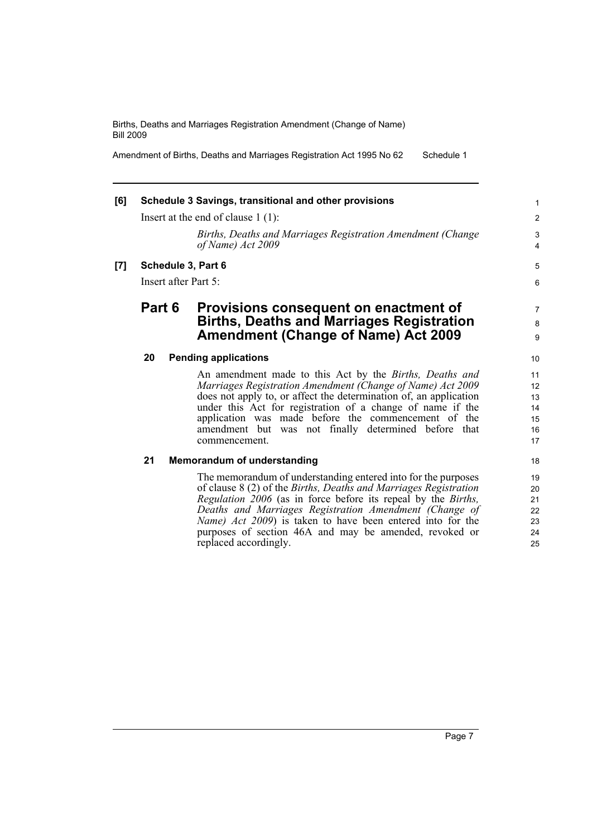Amendment of Births, Deaths and Marriages Registration Act 1995 No 62 Schedule 1

## **[6] Schedule 3 Savings, transitional and other provisions** Insert at the end of clause 1 (1): *Births, Deaths and Marriages Registration Amendment (Change of Name) Act 2009* **[7] Schedule 3, Part 6** Insert after Part 5: **Part 6 Provisions consequent on enactment of Births, Deaths and Marriages Registration Amendment (Change of Name) Act 2009 20 Pending applications** An amendment made to this Act by the *Births, Deaths and Marriages Registration Amendment (Change of Name) Act 2009*

does not apply to, or affect the determination of, an application under this Act for registration of a change of name if the application was made before the commencement of the amendment but was not finally determined before that commencement.

### **21 Memorandum of understanding**

The memorandum of understanding entered into for the purposes of clause 8 (2) of the *Births, Deaths and Marriages Registration Regulation 2006* (as in force before its repeal by the *Births, Deaths and Marriages Registration Amendment (Change of Name) Act 2009*) is taken to have been entered into for the purposes of section 46A and may be amended, revoked or replaced accordingly.

Page 7

5 6

7 8 9